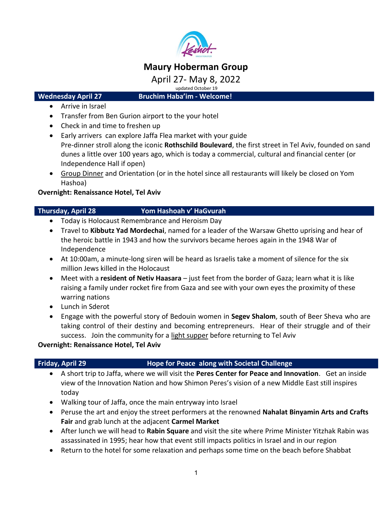

# **Maury Hoberman Group**

April 27- May 8, 2022

updated October 19

**Wednesday April 27 Bruchim Haba'im - Welcome!**

- Arrive in Israel
- Transfer from Ben Gurion airport to the your hotel
- Check in and time to freshen up
- Early arrivers can explore Jaffa Flea market with your guide Pre-dinner stroll along the iconic **Rothschild Boulevard**, the first street in Tel Aviv, founded on sand dunes a little over 100 years ago, which is today a commercial, cultural and financial center (or Independence Hall if open)
- Group Dinner and Orientation (or in the hotel since all restaurants will likely be closed on Yom Hashoa)

### **Overnight: Renaissance Hotel, Tel Aviv**

### **Thursday, April 28 Yom Hashoah v' HaGvurah**

- Today is Holocaust Remembrance and Heroism Day
- Travel to **Kibbutz Yad Mordechai**, named for a leader of the Warsaw Ghetto uprising and hear of the heroic battle in 1943 and how the survivors became heroes again in the 1948 War of Independence
- At 10:00am, a minute-long siren will be heard as Israelis take a moment of silence for the six million Jews killed in the Holocaust
- Meet with a **resident of Netiv Haasara** just feet from the border of Gaza; learn what it is like raising a family under rocket fire from Gaza and see with your own eyes the proximity of these warring nations
- Lunch in Sderot
- Engage with the powerful story of Bedouin women in **Segev Shalom**, south of Beer Sheva who are taking control of their destiny and becoming entrepreneurs. Hear of their struggle and of their success. Join the community for a light supper before returning to Tel Aviv

### **Overnight: Renaissance Hotel, Tel Aviv**

## **Friday, April 29 Hope for Peace along with Societal Challenge**

- A short trip to Jaffa, where we will visit the **Peres Center for Peace and Innovation**. Get an inside view of the Innovation Nation and how Shimon Peres's vision of a new Middle East still inspires today
- Walking tour of Jaffa, once the main entryway into Israel
- Peruse the art and enjoy the street performers at the renowned **Nahalat Binyamin Arts and Crafts Fair** and grab lunch at the adjacent **Carmel Market**
- After lunch we will head to **Rabin Square** and visit the site where Prime Minister Yitzhak Rabin was assassinated in 1995; hear how that event still impacts politics in Israel and in our region
- Return to the hotel for some relaxation and perhaps some time on the beach before Shabbat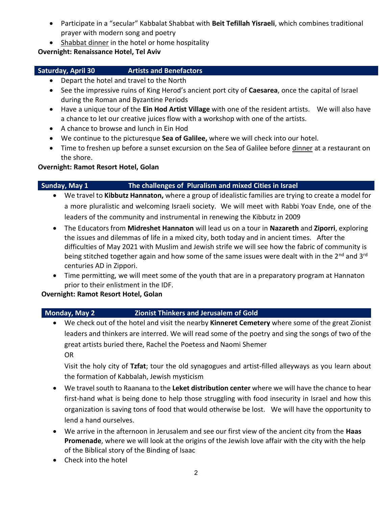- Participate in a "secular" Kabbalat Shabbat with **Beit Tefillah Yisraeli**, which combines traditional prayer with modern song and poetry
- Shabbat dinner in the hotel or home hospitality

### **Overnight: Renaissance Hotel, Tel Aviv**

# 

## **Saturday, April 30 Artists and Benefactors**

- Depart the hotel and travel to the North
- See the impressive ruins of King Herod's ancient port city of **Caesarea**, once the capital of Israel during the Roman and Byzantine Periods
- Have a unique tour of the **Ein Hod Artist Village** with one of the resident artists. We will also have a chance to let our creative juices flow with a workshop with one of the artists.
- A chance to browse and lunch in Ein Hod
- We continue to the picturesque **Sea of Galilee,** where we will check into our hotel.
- Time to freshen up before a sunset excursion on the Sea of Galilee before dinner at a restaurant on the shore.

## **Overnight: Ramot Resort Hotel, Golan**

# **Sunday, May 1 The challenges of Pluralism and mixed Cities in Israel**

- We travel to **Kibbutz Hannaton,** where a group of idealistic families are trying to create a model for a more pluralistic and welcoming Israeli society. We will meet with Rabbi Yoav Ende, one of the leaders of the community and instrumental in renewing the Kibbutz in 2009
- The Educators from **Midreshet Hannaton** will lead us on a tour in **Nazareth** and **Ziporri**, exploring the issues and dilemmas of life in a mixed city, both today and in ancient times. After the difficulties of May 2021 with Muslim and Jewish strife we will see how the fabric of community is being stitched together again and how some of the same issues were dealt with in the 2<sup>nd</sup> and 3<sup>rd</sup> centuries AD in Zippori.
- Time permitting, we will meet some of the youth that are in a preparatory program at Hannaton prior to their enlistment in the IDF.

## **Overnight: Ramot Resort Hotel, Golan**

# **Monday, May 2 Zionist Thinkers and Jerusalem of Gold**

• We check out of the hotel and visit the nearby **Kinneret Cemetery** where some of the great Zionist leaders and thinkers are interred. We will read some of the poetry and sing the songs of two of the great artists buried there, Rachel the Poetess and Naomi Shemer OR

Visit the holy city of **Tzfat**; tour the old synagogues and artist-filled alleyways as you learn about the formation of Kabbalah, Jewish mysticism

- We travel south to Raanana to the **Leket distribution center** where we will have the chance to hear first-hand what is being done to help those struggling with food insecurity in Israel and how this organization is saving tons of food that would otherwise be lost. We will have the opportunity to lend a hand ourselves.
- We arrive in the afternoon in Jerusalem and see our first view of the ancient city from the **Haas Promenade**, where we will look at the origins of the Jewish love affair with the city with the help of the Biblical story of the Binding of Isaac
- Check into the hotel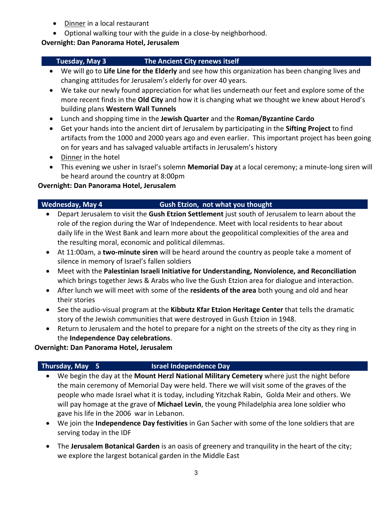- Dinner in a local restaurant
- Optional walking tour with the guide in a close-by neighborhood.

## **Overnight: Dan Panorama Hotel, Jerusalem**

# **Tuesday, May 3 The Ancient City renews itself**

- We will go to **Life Line for the Elderly** and see how this organization has been changing lives and changing attitudes for Jerusalem's elderly for over 40 years.
- We take our newly found appreciation for what lies underneath our feet and explore some of the more recent finds in the **Old City** and how it is changing what we thought we knew about Herod's building plans **Western Wall Tunnels**
- Lunch and shopping time in the **Jewish Quarter** and the **Roman/Byzantine Cardo**
- Get your hands into the ancient dirt of Jerusalem by participating in the **Sifting Project** to find artifacts from the 1000 and 2000 years ago and even earlier. This important project has been going on for years and has salvaged valuable artifacts in Jerusalem's history
- Dinner in the hotel
- This evening we usher in Israel's solemn **Memorial Day** at a local ceremony; a minute-long siren will be heard around the country at 8:00pm

# **Overnight: Dan Panorama Hotel, Jerusalem**

## **Wednesday, May 4 Gush Etzion, not what you thought**

- Depart Jerusalem to visit the **Gush Etzion Settlement** just south of Jerusalem to learn about the role of the region during the War of Independence. Meet with local residents to hear about daily life in the West Bank and learn more about the geopolitical complexities of the area and the resulting moral, economic and political dilemmas.
- At 11:00am, a **two-minute siren** will be heard around the country as people take a moment of silence in memory of Israel's fallen soldiers
- Meet with the **Palestinian Israeli Initiative for Understanding, Nonviolence, and Reconciliation** which brings together Jews & Arabs who live the Gush Etzion area for dialogue and interaction.
- After lunch we will meet with some of the **residents of the area** both young and old and hear their stories
- See the audio-visual program at the **Kibbutz Kfar Etzion Heritage Center** that tells the dramatic story of the Jewish communities that were destroyed in Gush Etzion in 1948.
- Return to Jerusalem and the hotel to prepare for a night on the streets of the city as they ring in the **Independence Day celebrations**.

## **Overnight: Dan Panorama Hotel, Jerusalem**

# **Thursday, May 5 Israel Independence Day**

- We begin the day at the **Mount Herzl National Military Cemetery** where just the night before the main ceremony of Memorial Day were held. There we will visit some of the graves of the people who made Israel what it is today, including Yitzchak Rabin, Golda Meir and others. We will pay homage at the grave of **Michael Levin**, the young Philadelphia area lone soldier who gave his life in the 2006 war in Lebanon.
- We join the **Independence Day festivities** in Gan Sacher with some of the lone soldiers that are serving today in the IDF
- The **Jerusalem Botanical Garden** is an oasis of greenery and tranquility in the heart of the city; we explore the largest botanical garden in the Middle East